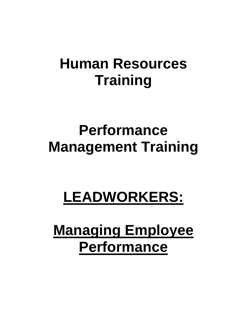# **Human Resources Training**

# **Performance Management Training**

# **LEADWORKERS:**

# **Managing Employee Performance**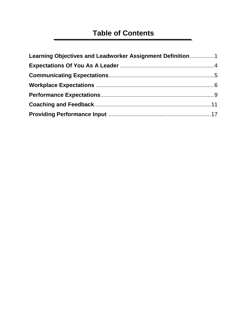# **Table of Contents**

| Learning Objectives and Leadworker Assignment Definition 1 |  |
|------------------------------------------------------------|--|
|                                                            |  |
|                                                            |  |
|                                                            |  |
|                                                            |  |
|                                                            |  |
|                                                            |  |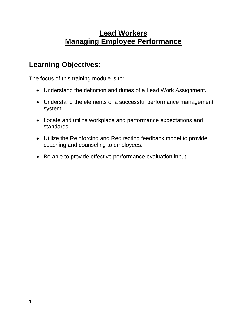## **Lead Workers Managing Employee Performance**

## <span id="page-3-0"></span>**Learning Objectives:**

The focus of this training module is to:

- Understand the definition and duties of a Lead Work Assignment.
- Understand the elements of a successful performance management system.
- Locate and utilize workplace and performance expectations and standards.
- Utilize the Reinforcing and Redirecting feedback model to provide coaching and counseling to employees.
- Be able to provide effective performance evaluation input.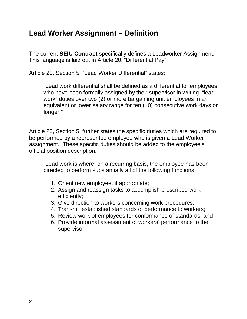## **Lead Worker Assignment – Definition**

The current **SEIU Contract** specifically defines a Leadworker Assignment. This language is laid out in Article 20, "Differential Pay".

Article 20, Section 5, "Lead Worker Differential" states:

"Lead work differential shall be defined as a differential for employees who have been formally assigned by their supervisor in writing, "lead work" duties over two (2) or more bargaining unit employees in an equivalent or lower salary range for ten (10) consecutive work days or longer."

Article 20, Section 5, further states the specific duties which are required to be performed by a represented employee who is given a Lead Worker assignment. These specific duties should be added to the employee's official position description:

"Lead work is where, on a recurring basis, the employee has been directed to perform substantially all of the following functions:

- 1. Orient new employee, if appropriate;
- 2. Assign and reassign tasks to accomplish prescribed work efficiently;
- 3. Give direction to workers concerning work procedures;
- 4. Transmit established standards of performance to workers;
- 5. Review work of employees for conformance of standards; and
- 6. Provide informal assessment of workers' performance to the supervisor."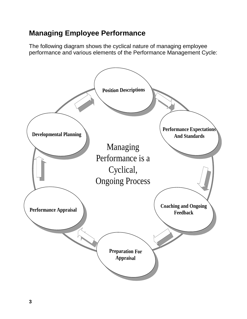## **Managing Employee Performance**

The following diagram shows the cyclical nature of managing employee performance and various elements of the Performance Management Cycle:

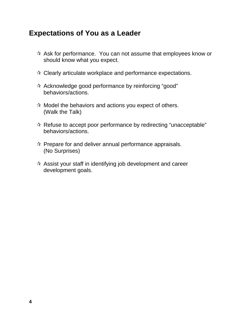## <span id="page-6-0"></span>**Expectations of You as a Leader**

- $\hat{x}$  Ask for performance. You can not assume that employees know or should know what you expect.
- $\mathcal{R}$  Clearly articulate workplace and performance expectations.
- $\mathbf{\hat{x}}$  Acknowledge good performance by reinforcing "good" behaviors/actions.
- $\mathbf{\hat{x}}$  Model the behaviors and actions you expect of others. (Walk the Talk)
- $\mathbf{\hat{x}}$  Refuse to accept poor performance by redirecting "unacceptable" behaviors/actions.
- $\mathcal{R}$  Prepare for and deliver annual performance appraisals. (No Surprises)
- $\mathcal{A}$  Assist your staff in identifying job development and career development goals.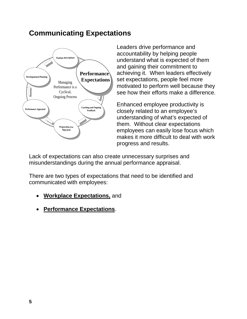## <span id="page-7-0"></span>**Communicating Expectations**



Leaders drive performance and accountability by helping people understand what is expected of them and gaining their commitment to achieving it. When leaders effectively set expectations, people feel more motivated to perform well because they see how their efforts make a difference.

Enhanced employee productivity is closely related to an employee's understanding of what's expected of them. Without clear expectations employees can easily lose focus which makes it more difficult to deal with work progress and results.

Lack of expectations can also create unnecessary surprises and misunderstandings during the annual performance appraisal.

There are two types of expectations that need to be identified and communicated with employees:

- **Workplace Expectations,** and
- **Performance Expectations**.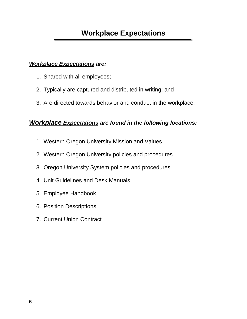## **Workplace Expectations**

#### <span id="page-8-0"></span>*Workplace Expectations are:*

- 1. Shared with all employees;
- 2. Typically are captured and distributed in writing; and
- 3. Are directed towards behavior and conduct in the workplace.

#### *Workplace Expectations are found in the following locations:*

- 1. Western Oregon University Mission and Values
- 2. Western Oregon University policies and procedures
- 3. Oregon University System policies and procedures
- 4. Unit Guidelines and Desk Manuals
- 5. Employee Handbook
- 6. Position Descriptions
- 7. Current Union Contract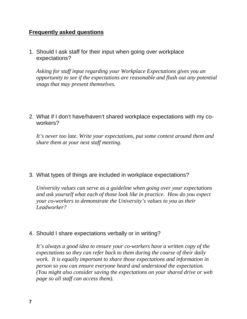#### **Frequently asked questions**

1. Should I ask staff for their input when going over workplace expectations?

*Asking for staff input regarding your Workplace Expectations gives you an opportunity to see if the expectations are reasonable and flush out any potential snags that may present themselves.* 

2. What if I don't have/haven't shared workplace expectations with my coworkers?

*It's never too late. Write your expectations, put some context around them and share them at your next staff meeting.* 

3. What types of things are included in workplace expectations?

*University values can serve as a guideline when going over your expectations and ask yourself what each of those look like in practice. How do you expect your co-workers to demonstrate the University's values to you as their Leadworker?* 

4. Should I share expectations verbally or in writing?

*It's always a good idea to ensure your co-workers have a written copy of the expectations so they can refer back to them during the course of their daily work. It is equally important to share those expectations and information in person so you can ensure everyone heard and understood the expectation. (You might also consider saving the expectations on your shared drive or web page so all staff can access them).*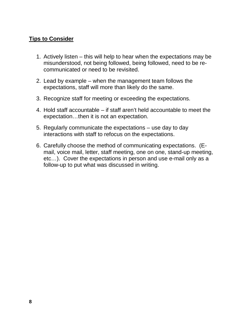#### **Tips to Consider**

- 1. Actively listen this will help to hear when the expectations may be misunderstood, not being followed, being followed, need to be recommunicated or need to be revisited.
- 2. Lead by example when the management team follows the expectations, staff will more than likely do the same.
- 3. Recognize staff for meeting or exceeding the expectations.
- 4. Hold staff accountable if staff aren't held accountable to meet the expectation…then it is not an expectation.
- 5. Regularly communicate the expectations use day to day interactions with staff to refocus on the expectations.
- 6. Carefully choose the method of communicating expectations. (Email, voice mail, letter, staff meeting, one on one, stand-up meeting, etc…). Cover the expectations in person and use e-mail only as a follow-up to put what was discussed in writing.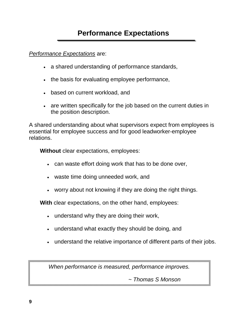## **Performance Expectations**

<span id="page-11-0"></span>*Performance Expectations* are:

- a shared understanding of performance standards,
- the basis for evaluating employee performance,
- based on current workload, and
- are written specifically for the job based on the current duties in the position description.

A shared understanding about what supervisors expect from employees is essential for employee success and for good leadworker-employee relations.

**Without** clear expectations, employees:

- can waste effort doing work that has to be done over,
- waste time doing unneeded work, and
- worry about not knowing if they are doing the right things.

**With** clear expectations, on the other hand, employees:

- understand why they are doing their work,
- understand what exactly they should be doing, and
- understand the relative importance of different parts of their jobs.

*When performance is measured, performance improves.*

 *~ Thomas S Monson*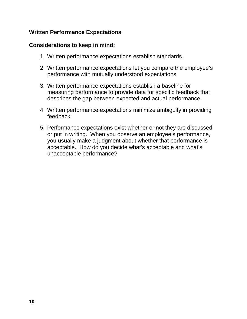#### **Written Performance Expectations**

#### **Considerations to keep in mind:**

- 1. Written performance expectations establish standards.
- 2. Written performance expectations let you compare the employee's performance with mutually understood expectations
- 3. Written performance expectations establish a baseline for measuring performance to provide data for specific feedback that describes the gap between expected and actual performance.
- 4. Written performance expectations minimize ambiguity in providing feedback.
- 5. Performance expectations exist whether or not they are discussed or put in writing. When you observe an employee's performance, you usually make a judgment about whether that performance is acceptable. How do you decide what's acceptable and what's unacceptable performance?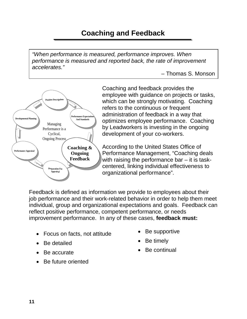## <span id="page-13-0"></span>**Coaching and Feedback**

*"When performance is measured, performance improves. When performance is measured and reported back, the rate of improvement accelerates."*

– Thomas S. Monson



Coaching and feedback provides the employee with guidance on projects or tasks, which can be strongly motivating. Coaching refers to the continuous or frequent administration of feedback in a way that optimizes employee performance. Coaching by Leadworkers is investing in the ongoing development of your co-workers.

According to the United States Office of Performance Management, "Coaching deals with raising the performance bar – it is taskcentered, linking individual effectiveness to organizational performance".

Feedback is defined as information we provide to employees about their job performance and their work-related behavior in order to help them meet individual, group and organizational expectations and goals. Feedback can reflect positive performance, competent performance, or needs improvement performance. In any of these cases, **feedback must:**

- Focus on facts, not attitude
- Be detailed
- Be accurate
- Be future oriented
- Be supportive
- Be timely
- Be continual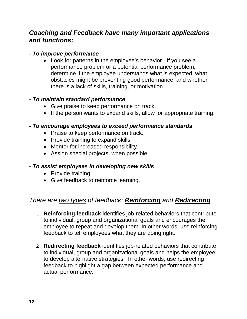## *Coaching and Feedback have many important applications and functions:*

#### *- To improve performance*

• Look for patterns in the employee's behavior. If you see a performance problem or a potential performance problem, determine if the employee understands what is expected, what obstacles might be preventing good performance, and whether there is a lack of skills, training, or motivation.

#### *- To maintain standard performance*

- Give praise to keep performance on track.
- If the person wants to expand skills, allow for appropriate training.

#### *- To encourage employees to exceed performance standards*

- Praise to keep performance on track.
- Provide training to expand skills.
- Mentor for increased responsibility.
- Assign special projects, when possible.

#### *- To assist employees in developing new skills*

- Provide training.
- Give feedback to reinforce learning.

## *There are two types of feedback: Reinforcing and Redirecting.*

- 1. **Reinforcing feedback** identifies job-related behaviors that contribute to individual, group and organizational goals and encourages the employee to repeat and develop them. In other words, use reinforcing feedback to tell employees what they are doing right.
- *2.* **Redirecting feedback** identifies job-related behaviors that contribute to individual, group and organizational goals and helps the employee to develop alternative strategies. In other words, use redirecting feedback to highlight a gap between expected performance and actual performance.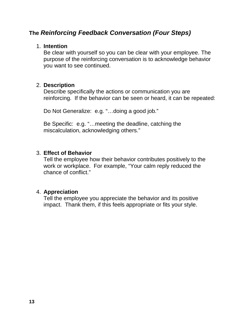### **The** *Reinforcing Feedback Conversation (Four Steps)*

#### 1. **Intention**

Be clear with yourself so you can be clear with your employee. The purpose of the reinforcing conversation is to acknowledge behavior you want to see continued.

#### 2. **Description**

Describe specifically the actions or communication you are reinforcing. If the behavior can be seen or heard, it can be repeated:

Do Not Generalize: e.g. "…doing a good job."

Be Specific: e.g. "…meeting the deadline, catching the miscalculation, acknowledging others."

#### 3. **Effect of Behavior**

Tell the employee how their behavior contributes positively to the work or workplace. For example, "Your calm reply reduced the chance of conflict."

#### 4. **Appreciation**

Tell the employee you appreciate the behavior and its positive impact. Thank them, if this feels appropriate or fits your style.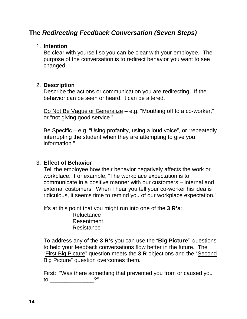## **The** *Redirecting Feedback Conversation (Seven Steps)*

#### 1. **Intention**

Be clear with yourself so you can be clear with your employee. The purpose of the conversation is to redirect behavior you want to see changed.

### 2. **Description**

Describe the actions or communication you are redirecting. If the behavior can be seen or heard, it can be altered.

Do Not Be Vague or Generalize – e.g. "Mouthing off to a co-worker," or "not giving good service."

Be Specific – e.g. "Using profanity, using a loud voice", or "repeatedly interrupting the student when they are attempting to give you information."

#### 3. **Effect of Behavior**

Tell the employee how their behavior negatively affects the work or workplace. For example, "The workplace expectation is to communicate in a positive manner with our customers – internal and external customers. When I hear you tell your co-worker his idea is ridiculous, it seems time to remind you of our workplace expectation."

It's at this point that you might run into one of the **3 R's**:

**Reluctance** Resentment Resistance

To address any of the **3 R's** you can use the "**Big Picture"** questions to help your feedback conversations flow better in the future. The "First Big Picture" question meets the **3 R** objections and the "Second Big Picture" question overcomes them.

First: "Was there something that prevented you from or caused you to \_\_\_\_\_\_\_\_\_\_\_\_\_\_?"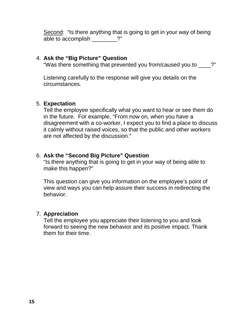Second: "Is there anything that is going to get in your way of being able to accomplish \_\_\_\_\_\_\_\_?"

#### 4. **Ask the "Big Picture" Question**

"Was there something that prevented you from/caused you to \_\_\_\_?"

Listening carefully to the response will give you details on the circumstances.

#### 5. **Expectation**

Tell the employee specifically what you want to hear or see them do in the future. For example, "From now on, when you have a disagreement with a co-worker, I expect you to find a place to discuss it calmly without raised voices, so that the public and other workers are not affected by the discussion."

#### 6. **Ask the "Second Big Picture" Question**

"Is there anything that is going to get in your way of being able to make this happen?"

This question can give you information on the employee's point of view and ways you can help assure their success in redirecting the behavior.

#### 7. **Appreciation**

Tell the employee you appreciate their listening to you and look forward to seeing the new behavior and its positive impact. Thank them for their time.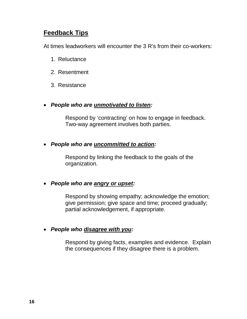## **Feedback Tips**

At times leadworkers will encounter the 3 R's from their co-workers:

- 1. Reluctance
- 2. Resentment
- 3. Resistance
- *People who are unmotivated to listen:*

Respond by 'contracting' on how to engage in feedback. Two-way agreement involves both parties.

• *People who are uncommitted to action:*

Respond by linking the feedback to the goals of the organization.

• *People who are angry or upset:* 

Respond by showing empathy; acknowledge the emotion; give permission; give space and time; proceed gradually; partial acknowledgement, if appropriate.

• *People who disagree with you:* 

Respond by giving facts, examples and evidence. Explain the consequences if they disagree there is a problem.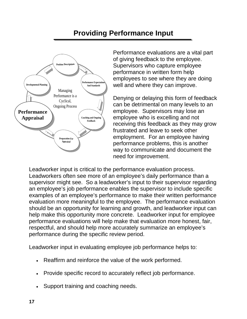# **Providing Performance Input**

<span id="page-19-0"></span>

Performance evaluations are a vital part of giving feedback to the employee. Supervisors who capture employee performance in written form help employees to see where they are doing well and where they can improve.

Denying or delaying this form of feedback can be detrimental on many levels to an employee. Supervisors may lose an employee who is excelling and not receiving this feedback as they may grow frustrated and leave to seek other employment. For an employee having performance problems, this is another way to communicate and document the need for improvement.

Leadworker input is critical to the performance evaluation process. Leadworkers often see more of an employee's daily performance than a supervisor might see. So a leadworker's input to their supervisor regarding an employee's job performance enables the supervisor to include specific examples of an employee's performance to make their written performance evaluation more meaningful to the employee. The performance evaluation should be an opportunity for learning and growth, and leadworker input can help make this opportunity more concrete. Leadworker input for employee performance evaluations will help make that evaluation more honest, fair, respectful, and should help more accurately summarize an employee's performance during the specific review period.

Leadworker input in evaluating employee job performance helps to:

- Reaffirm and reinforce the value of the work performed.
- Provide specific record to accurately reflect job performance.
- Support training and coaching needs.